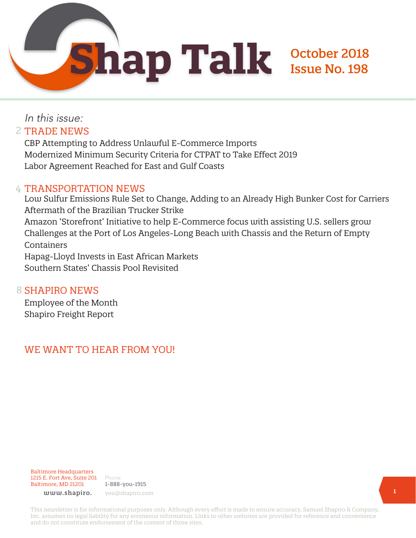October 2018

Issue No. 198

### In this issue: 2 TRADE NEWS

CBP Attempting to Address Unlawful E-Commerce Imports Modernized Minimum Security Criteria for CTPAT to Take Effect 2019 Labor Agreement Reached for East and Gulf Coasts

#### 4 TRANSPORTATION NEWS

Low Sulfur Emissions Rule Set to Change, Adding to an Already High Bunker Cost for Carriers Aftermath of the Brazilian Trucker Strike Amazon 'Storefront' Initiative to help E-Commerce focus with assisting U.S. sellers grow Challenges at the Port of Los Angeles-Long Beach with Chassis and the Return of Empty Containers Hapag-Lloyd Invests in East African Markets Southern States' Chassis Pool Revisited

#### 8 SHAPIRO NEWS

Employee of the Month Shapiro Freight Report

### WE WANT TO HEAR FROM YOU!



Phone 1-888-you-1915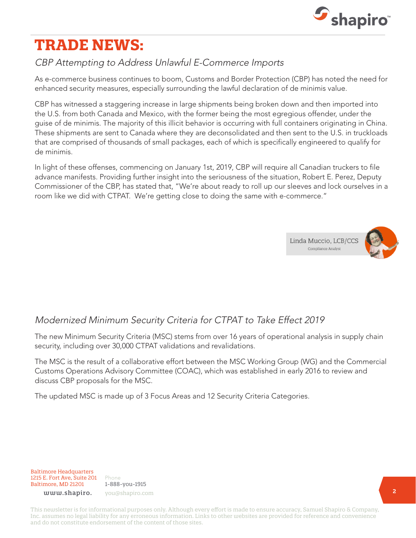

# **TRADE NEWS:**

# CBP Attempting to Address Unlawful E-Commerce Imports

As e-commerce business continues to boom, Customs and Border Protection (CBP) has noted the need for enhanced security measures, especially surrounding the lawful declaration of de minimis value.

CBP has witnessed a staggering increase in large shipments being broken down and then imported into the U.S. from both Canada and Mexico, with the former being the most egregious offender, under the guise of de minimis. The majority of this illicit behavior is occurring with full containers originating in China. These shipments are sent to Canada where they are deconsolidated and then sent to the U.S. in truckloads that are comprised of thousands of small packages, each of which is specifically engineered to qualify for de minimis.

In light of these offenses, commencing on January 1st, 2019, CBP will require all Canadian truckers to file advance manifests. Providing further insight into the seriousness of the situation, Robert E. Perez, Deputy Commissioner of the CBP, has stated that, "We're about ready to roll up our sleeves and lock ourselves in a room like we did with CTPAT. We're getting close to doing the same with e-commerce."





## Modernized Minimum Security Criteria for CTPAT to Take Effect 2019

The new Minimum Security Criteria (MSC) stems from over 16 years of operational analysis in supply chain security, including over 30,000 CTPAT validations and revalidations.

The MSC is the result of a collaborative effort between the MSC Working Group (WG) and the Commercial Customs Operations Advisory Committee (COAC), which was established in early 2016 to review and discuss CBP proposals for the MSC.

The updated MSC is made up of 3 Focus Areas and 12 Security Criteria Categories.

Baltimore Headquarters 1215 E. Fort Ave, Suite 201 Baltimore, MD 21201

Phone 1-888-you-1915 www.shapiro. you@shapiro.com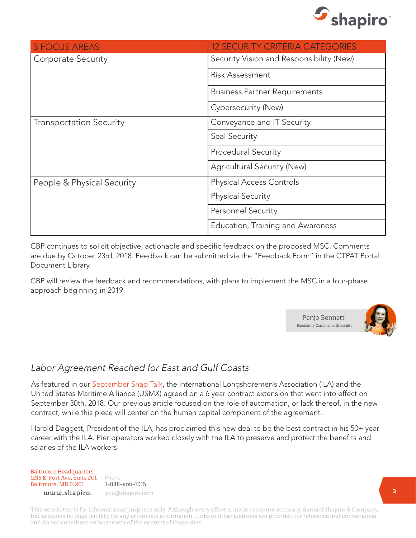

| <b>3 FOCUS AREAS</b>           | <b>12 SECURITY CRITERIA CATEGORIES</b>   |
|--------------------------------|------------------------------------------|
| Corporate Security             | Security Vision and Responsibility (New) |
|                                | <b>Risk Assessment</b>                   |
|                                | <b>Business Partner Requirements</b>     |
|                                | Cybersecurity (New)                      |
| <b>Transportation Security</b> | Conveyance and IT Security               |
|                                | Seal Security                            |
|                                | <b>Procedural Security</b>               |
|                                | Agricultural Security (New)              |
| People & Physical Security     | <b>Physical Access Controls</b>          |
|                                | <b>Physical Security</b>                 |
|                                | <b>Personnel Security</b>                |
|                                | Education, Training and Awareness        |

CBP continues to solicit objective, actionable and specific feedback on the proposed MSC. Comments are due by October 23rd, 2018. Feedback can be submitted via the "Feedback Form" in the CTPAT Portal Document Library.

CBP will review the feedback and recommendations, with plans to implement the MSC in a four-phase approach beginning in 2019.



#### Labor Agreement Reached for East and Gulf Coasts

As featured in our [September Shap Talk](https://www.shapiro.com/newsletters/september-2018-issue-197/#st-3), the International Longshoremen's Association (ILA) and the United States Maritime Alliance (USMX) agreed on a 6 year contract extension that went into effect on September 30th, 2018. Our previous article focused on the role of automation, or lack thereof, in the new contract, while this piece will center on the human capital component of the agreement.

Harold Daggett, President of the ILA, has proclaimed this new deal to be the best contract in his 50+ year career with the ILA. Pier operators worked closely with the ILA to preserve and protect the benefits and salaries of the ILA workers.

Baltimore Headquarters 1215 E. Fort Ave, Suite 201 Baltimore, MD 21201

Phone 1-888-you-1915 www.shapiro. you@shapiro.com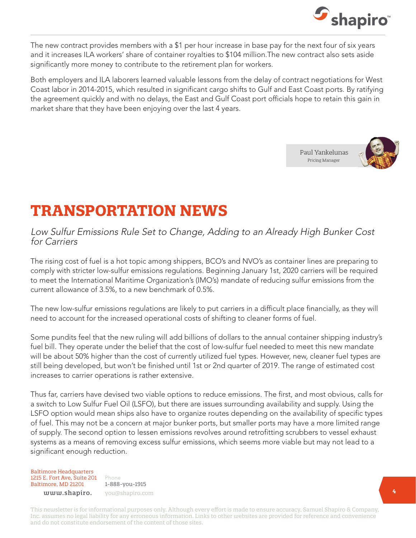

The new contract provides members with a \$1 per hour increase in base pay for the next four of six years and it increases ILA workers' share of container royalties to \$104 million.The new contract also sets aside significantly more money to contribute to the retirement plan for workers.

Both employers and ILA laborers learned valuable lessons from the delay of contract negotiations for West Coast labor in 2014-2015, which resulted in significant cargo shifts to Gulf and East Coast ports. By ratifying the agreement quickly and with no delays, the East and Gulf Coast port officials hope to retain this gain in market share that they have been enjoying over the last 4 years.





# **TRANSPORTATION NEWS**

#### Low Sulfur Emissions Rule Set to Change, Adding to an Already High Bunker Cost for Carriers

The rising cost of fuel is a hot topic among shippers, BCO's and NVO's as container lines are preparing to comply with stricter low-sulfur emissions regulations. Beginning January 1st, 2020 carriers will be required to meet the International Maritime Organization's (IMO's) mandate of reducing sulfur emissions from the current allowance of 3.5%, to a new benchmark of 0.5%.

The new low-sulfur emissions regulations are likely to put carriers in a difficult place financially, as they will need to account for the increased operational costs of shifting to cleaner forms of fuel.

Some pundits feel that the new ruling will add billions of dollars to the annual container shipping industry's fuel bill. They operate under the belief that the cost of low-sulfur fuel needed to meet this new mandate will be about 50% higher than the cost of currently utilized fuel types. However, new, cleaner fuel types are still being developed, but won't be finished until 1st or 2nd quarter of 2019. The range of estimated cost increases to carrier operations is rather extensive.

Thus far, carriers have devised two viable options to reduce emissions. The first, and most obvious, calls for a switch to Low Sulfur Fuel Oil (LSFO), but there are issues surrounding availability and supply. Using the LSFO option would mean ships also have to organize routes depending on the availability of specific types of fuel. This may not be a concern at major bunker ports, but smaller ports may have a more limited range of supply. The second option to lessen emissions revolves around retrofitting scrubbers to vessel exhaust systems as a means of removing excess sulfur emissions, which seems more viable but may not lead to a significant enough reduction.

Baltimore Headquarters 1215 E. Fort Ave, Suite 201 Baltimore, MD 21201

Phone 1-888-you-1915 www.shapiro. you@shapiro.com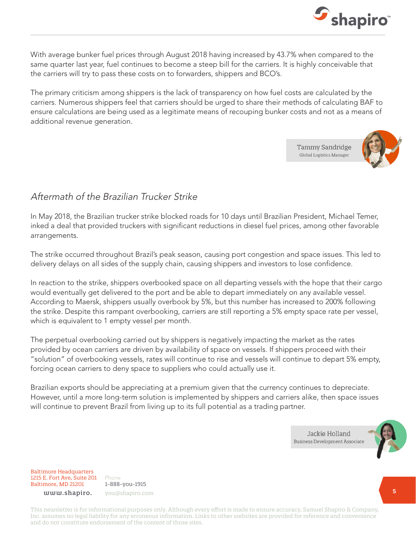

With average bunker fuel prices through August 2018 having increased by 43.7% when compared to the same quarter last year, fuel continues to become a steep bill for the carriers. It is highly conceivable that the carriers will try to pass these costs on to forwarders, shippers and BCO's.

The primary criticism among shippers is the lack of transparency on how fuel costs are calculated by the carriers. Numerous shippers feel that carriers should be urged to share their methods of calculating BAF to ensure calculations are being used as a legitimate means of recouping bunker costs and not as a means of additional revenue generation.

> Tammy Sandridge Global Logistics Manager



#### Aftermath of the Brazilian Trucker Strike

In May 2018, the Brazilian trucker strike blocked roads for 10 days until Brazilian President, Michael Temer, inked a deal that provided truckers with significant reductions in diesel fuel prices, among other favorable arrangements.

The strike occurred throughout Brazil's peak season, causing port congestion and space issues. This led to delivery delays on all sides of the supply chain, causing shippers and investors to lose confidence.

In reaction to the strike, shippers overbooked space on all departing vessels with the hope that their cargo would eventually get delivered to the port and be able to depart immediately on any available vessel. According to Maersk, shippers usually overbook by 5%, but this number has increased to 200% following the strike. Despite this rampant overbooking, carriers are still reporting a 5% empty space rate per vessel, which is equivalent to 1 empty vessel per month.

The perpetual overbooking carried out by shippers is negatively impacting the market as the rates provided by ocean carriers are driven by availability of space on vessels. If shippers proceed with their "solution" of overbooking vessels, rates will continue to rise and vessels will continue to depart 5% empty, forcing ocean carriers to deny space to suppliers who could actually use it.

Brazilian exports should be appreciating at a premium given that the currency continues to depreciate. However, until a more long-term solution is implemented by shippers and carriers alike, then space issues will continue to prevent Brazil from living up to its full potential as a trading partner.

> Jackie Holland **Business Development Associate**



Baltimore Headquarters 1215 E. Fort Ave, Suite 201 Baltimore, MD 21201

Phone 1-888-you-1915 www.shapiro. you@shapiro.com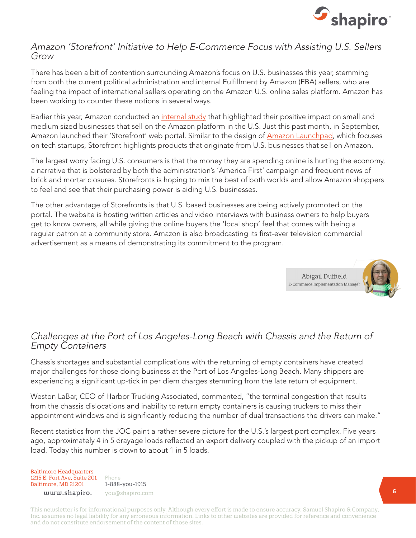

#### Amazon 'Storefront' Initiative to Help E-Commerce Focus with Assisting U.S. Sellers Grow

There has been a bit of contention surrounding Amazon's focus on U.S. businesses this year, stemming from both the current political administration and internal Fulfillment by Amazon (FBA) sellers, who are feeling the impact of international sellers operating on the Amazon U.S. online sales platform. Amazon has been working to counter these notions in several ways.

Earlier this year, Amazon conducted an [internal study](https://d39w7f4ix9f5s9.cloudfront.net/98/85/63570d3d43039280571dd4e7f64a/amazon-smb-impact-report-2018-1.pdf) that highlighted their positive impact on small and medium sized businesses that sell on the Amazon platform in the U.S. Just this past month, in September, Amazon launched their 'Storefront' web portal. Similar to the design of [Amazon Launchpad,](https://www.amazon.com/b/?ie=UTF8&node=12034488011) which focuses on tech startups, Storefront highlights products that originate from U.S. businesses that sell on Amazon.

The largest worry facing U.S. consumers is that the money they are spending online is hurting the economy, a narrative that is bolstered by both the administration's 'America First' campaign and frequent news of brick and mortar closures. Storefronts is hoping to mix the best of both worlds and allow Amazon shoppers to feel and see that their purchasing power is aiding U.S. businesses.

The other advantage of Storefronts is that U.S. based businesses are being actively promoted on the portal. The website is hosting written articles and video interviews with business owners to help buyers get to know owners, all while giving the online buyers the 'local shop' feel that comes with being a regular patron at a community store. Amazon is also broadcasting its first-ever television commercial advertisement as a means of demonstrating its commitment to the program.



#### Challenges at the Port of Los Angeles-Long Beach with Chassis and the Return of Empty Containers

Chassis shortages and substantial complications with the returning of empty containers have created major challenges for those doing business at the Port of Los Angeles-Long Beach. Many shippers are experiencing a significant up-tick in per diem charges stemming from the late return of equipment.

Weston LaBar, CEO of Harbor Trucking Associated, commented, "the terminal congestion that results from the chassis dislocations and inability to return empty containers is causing truckers to miss their appointment windows and is significantly reducing the number of dual transactions the drivers can make."

Recent statistics from the JOC paint a rather severe picture for the U.S.'s largest port complex. Five years ago, approximately 4 in 5 drayage loads reflected an export delivery coupled with the pickup of an import load. Today this number is down to about 1 in 5 loads.

#### Baltimore Headquarters 1215 E. Fort Ave, Suite 201 Baltimore, MD 21201

Phone 1-888-you-1915 www.shapiro. you@shapiro.com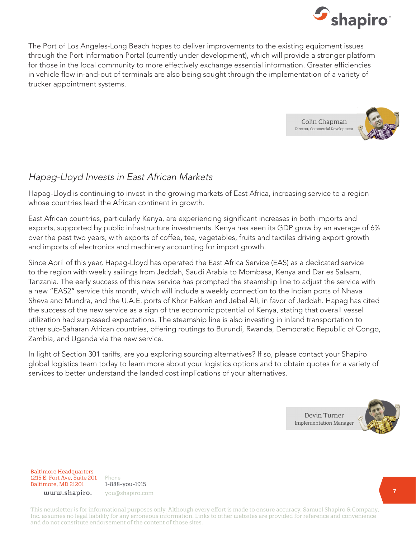

The Port of Los Angeles-Long Beach hopes to deliver improvements to the existing equipment issues through the Port Information Portal (currently under development), which will provide a stronger platform for those in the local community to more effectively exchange essential information. Greater efficiencies in vehicle flow in-and-out of terminals are also being sought through the implementation of a variety of trucker appointment systems.



#### Hapag-Lloyd Invests in East African Markets

Hapag-Lloyd is continuing to invest in the growing markets of East Africa, increasing service to a region whose countries lead the African continent in growth.

East African countries, particularly Kenya, are experiencing significant increases in both imports and exports, supported by public infrastructure investments. Kenya has seen its GDP grow by an average of 6% over the past two years, with exports of coffee, tea, vegetables, fruits and textiles driving export growth and imports of electronics and machinery accounting for import growth.

Since April of this year, Hapag-Lloyd has operated the East Africa Service (EAS) as a dedicated service to the region with weekly sailings from Jeddah, Saudi Arabia to Mombasa, Kenya and Dar es Salaam, Tanzania. The early success of this new service has prompted the steamship line to adjust the service with a new "EAS2" service this month, which will include a weekly connection to the Indian ports of Nhava Sheva and Mundra, and the U.A.E. ports of Khor Fakkan and Jebel Ali, in favor of Jeddah. Hapag has cited the success of the new service as a sign of the economic potential of Kenya, stating that overall vessel utilization had surpassed expectations. The steamship line is also investing in inland transportation to other sub-Saharan African countries, offering routings to Burundi, Rwanda, Democratic Republic of Congo, Zambia, and Uganda via the new service.

In light of Section 301 tariffs, are you exploring sourcing alternatives? If so, please contact your Shapiro global logistics team today to learn more about your logistics options and to obtain quotes for a variety of services to better understand the landed cost implications of your alternatives.

> Devin Turner **Implementation Manager**



Baltimore Headquarters 1215 E. Fort Ave, Suite 201 Baltimore, MD 21201

Phone 1-888-you-1915 www.shapiro. you@shapiro.com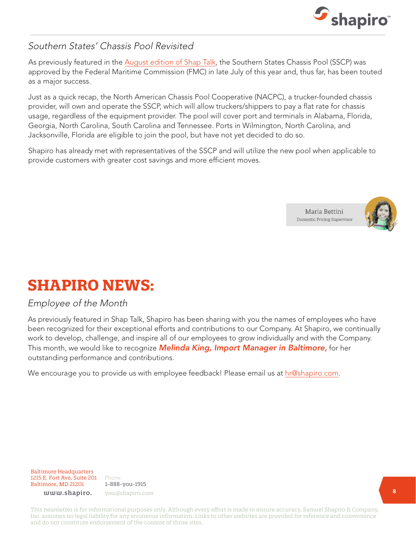

### Southern States' Chassis Pool Revisited

As previously featured in the [August edition of Shap Talk](https://www.shapiro.com/newsletters/august-2018-issue-196/#st-4), the Southern States Chassis Pool (SSCP) was approved by the Federal Maritime Commission (FMC) in late July of this year and, thus far, has been touted as a major success.

Just as a quick recap, the North American Chassis Pool Cooperative (NACPC), a trucker-founded chassis provider, will own and operate the SSCP, which will allow truckers/shippers to pay a flat rate for chassis usage, regardless of the equipment provider. The pool will cover port and terminals in Alabama, Florida, Georgia, North Carolina, South Carolina and Tennessee. Ports in Wilmington, North Carolina, and Jacksonville, Florida are eligible to join the pool, but have not yet decided to do so.

Shapiro has already met with representatives of the SSCP and will utilize the new pool when applicable to provide customers with greater cost savings and more efficient moves.



# **SHAPIRO NEWS:**

#### Employee of the Month

As previously featured in Shap Talk, Shapiro has been sharing with you the names of employees who have been recognized for their exceptional efforts and contributions to our Company. At Shapiro, we continually work to develop, challenge, and inspire all of our employees to grow individually and with the Company. This month, we would like to recognize *Melinda King, Import Manager in Baltimore,* for her outstanding performance and contributions.

We encourage you to provide us with employee feedback! Please email us at <hr@shapiro.com>.

Baltimore Headquarters 1215 E. Fort Ave, Suite 201 Baltimore, MD 21201

Phone 1-888-you-1915 www.shapiro. you@shapiro.com